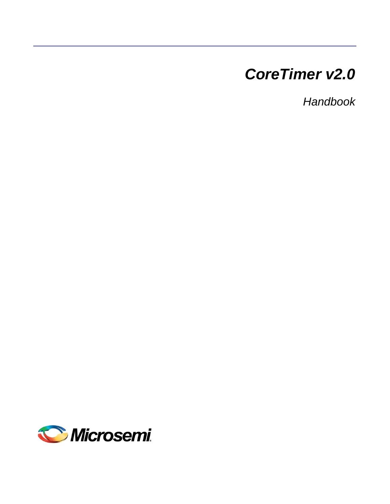# *CoreTimer v2.0*

*Handbook*

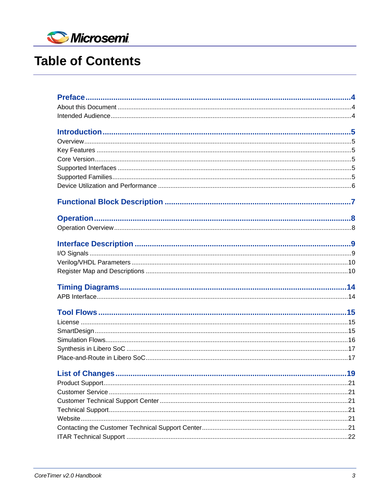

# **Table of Contents**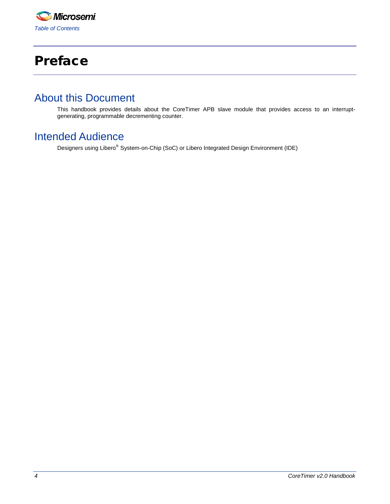

# <span id="page-2-0"></span>Preface

## <span id="page-2-1"></span>About this Document

<span id="page-2-2"></span>This handbook provides details about the CoreTimer APB slave module that provides access to an interruptgenerating, programmable decrementing counter.

## Intended Audience

Designers using Libero® System-on-Chip (SoC) or Libero Integrated Design Environment (IDE)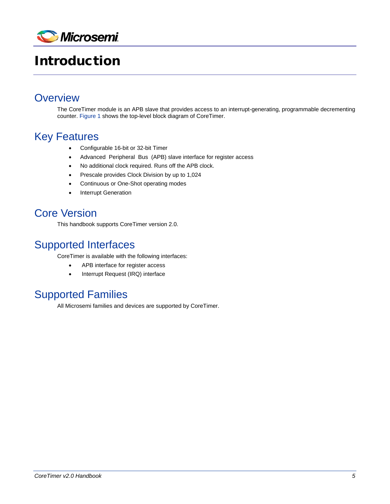

# <span id="page-3-0"></span>Introduction

## <span id="page-3-1"></span>**Overview**

The CoreTimer module is an APB slave that provides access to an interrupt-generating, programmable decrementing counter. [Figure 1](#page-5-1) shows the top-level block diagram of CoreTimer.

## <span id="page-3-2"></span>Key Features

- Configurable 16-bit or 32-bit Timer
- Advanced Peripheral Bus (APB) slave interface for register access
- No additional clock required. Runs off the APB clock.
- Prescale provides Clock Division by up to 1,024
- Continuous or One-Shot operating modes
- **Interrupt Generation**

## <span id="page-3-3"></span>Core Version

This handbook supports CoreTimer version 2.0.

## <span id="page-3-4"></span>Supported Interfaces

CoreTimer is available with the following interfaces:

- APB interface for register access
- Interrupt Request (IRQ) interface

## <span id="page-3-5"></span>Supported Families

All Microsemi families and devices are supported by CoreTimer.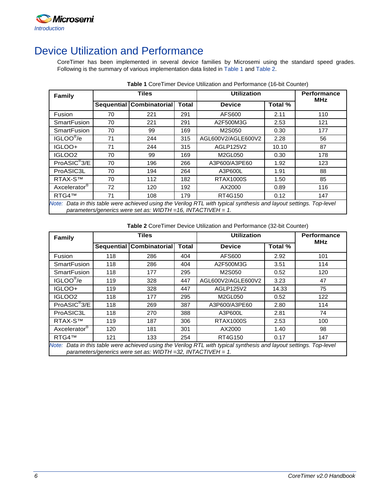

# <span id="page-4-0"></span>Device Utilization and Performance

CoreTimer has been implemented in several device families by Microsemi using the standard speed grades. Following is the summary of various implementation data listed in [Table 1](#page-4-1) and [Table 2.](#page-4-2)

<span id="page-4-1"></span>

| Family                                                                                                                                                                                   |    | <b>Tiles</b>             | <b>Utilization</b> | <b>Performance</b> |         |            |
|------------------------------------------------------------------------------------------------------------------------------------------------------------------------------------------|----|--------------------------|--------------------|--------------------|---------|------------|
|                                                                                                                                                                                          |    | Sequential Combinatorial | <b>Total</b>       | <b>Device</b>      | Total % | <b>MHz</b> |
| Fusion                                                                                                                                                                                   | 70 | 221                      | 291                | AFS600             | 2.11    | 110        |
| <b>SmartFusion</b>                                                                                                                                                                       | 70 | 221                      | 291                | A2F500M3G          | 2.53    | 121        |
| <b>SmartFusion</b>                                                                                                                                                                       | 70 | 99                       | 169                | M2S050             | 0.30    | 177        |
| IGLOO <sup>®</sup> /e                                                                                                                                                                    | 71 | 244                      | 315                | AGL600V2/AGLE600V2 | 2.28    | 56         |
| IGLOO+                                                                                                                                                                                   | 71 | 244                      | 315                | AGLP125V2          | 10.10   | 87         |
| IGLOO <sub>2</sub>                                                                                                                                                                       | 70 | 99                       | 169                | M2GL050            | 0.30    | 178        |
| ProASIC <sup>®</sup> 3/E                                                                                                                                                                 | 70 | 196                      | 266                | A3P600/A3PE60      | 1.92    | 123        |
| ProASIC3L                                                                                                                                                                                | 70 | 194                      | 264                | A3P600L            | 1.91    | 88         |
| RTAX-S™                                                                                                                                                                                  | 70 | 112                      | 182                | RTAX1000S          | 1.50    | 85         |
| Axcelerator <sup>®</sup>                                                                                                                                                                 | 72 | 120                      | 192                | AX2000             | 0.89    | 116        |
| RTG4™                                                                                                                                                                                    | 71 | 108                      | 179                | RT4G150            | 0.12    | 147        |
| Note: Data in this table were achieved using the Verilog RTL with typical synthesis and layout settings. Top-level<br>parameters/generics were set as: $WIDTH = 16$ , $INTACTIVEH = 1$ . |    |                          |                    |                    |         |            |

**Table 1** CoreTimer Device Utilization and Performance (16-bit Counter)

**Table 2** CoreTimer Device Utilization and Performance (32-bit Counter)

<span id="page-4-2"></span>

| Family                                                                                                                                                                                   | Tiles |                          |              | <b>Utilization</b> | <b>Performance</b><br><b>MHz</b> |     |
|------------------------------------------------------------------------------------------------------------------------------------------------------------------------------------------|-------|--------------------------|--------------|--------------------|----------------------------------|-----|
|                                                                                                                                                                                          |       | Sequential Combinatorial | <b>Total</b> | <b>Device</b>      | Total %                          |     |
| Fusion                                                                                                                                                                                   | 118   | 286                      | 404          | AFS600             | 2.92                             | 101 |
| <b>SmartFusion</b>                                                                                                                                                                       | 118   | 286                      | 404          | A2F500M3G          | 3.51                             | 114 |
| <b>SmartFusion</b>                                                                                                                                                                       | 118   | 177                      | 295          | M2S050             | 0.52                             | 120 |
| IGLOO <sup>®</sup> /e                                                                                                                                                                    | 119   | 328                      | 447          | AGL600V2/AGLE600V2 | 3.23                             | 47  |
| IGLOO+                                                                                                                                                                                   | 119   | 328                      | 447          | AGLP125V2          | 14.33                            | 75  |
| IGLOO <sub>2</sub>                                                                                                                                                                       | 118   | 177                      | 295          | M2GL050            | 0.52                             | 122 |
| ProASIC <sup>®</sup> 3/E                                                                                                                                                                 | 118   | 269                      | 387          | A3P600/A3PE60      | 2.80                             | 114 |
| ProASIC3L                                                                                                                                                                                | 118   | 270                      | 388          | A3P600L            | 2.81                             | 74  |
| <b>RTAX-S™</b>                                                                                                                                                                           | 119   | 187                      | 306          | <b>RTAX1000S</b>   | 2.53                             | 100 |
| Axcelerator <sup>®</sup>                                                                                                                                                                 | 120   | 181                      | 301          | AX2000             | 1.40                             | 98  |
| RTG4™                                                                                                                                                                                    | 121   | 133                      | 254          | RT4G150            | 0.17                             | 147 |
| Note: Data in this table were achieved using the Verilog RTL with typical synthesis and layout settings. Top-level<br>parameters/generics were set as: $WIDTH = 32$ , $INTACTIVEH = 1$ . |       |                          |              |                    |                                  |     |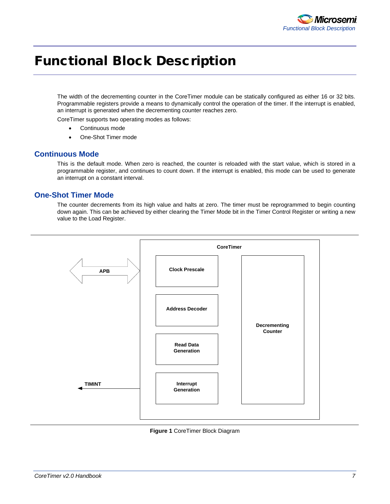

# <span id="page-5-0"></span>Functional Block Description

The width of the decrementing counter in the CoreTimer module can be statically configured as either 16 or 32 bits. Programmable registers provide a means to dynamically control the operation of the timer. If the interrupt is enabled, an interrupt is generated when the decrementing counter reaches zero.

CoreTimer supports two operating modes as follows:

- Continuous mode
- One-Shot Timer mode

### **Continuous Mode**

This is the default mode. When zero is reached, the counter is reloaded with the start value, which is stored in a programmable register, and continues to count down. If the interrupt is enabled, this mode can be used to generate an interrupt on a constant interval.

### **One-Shot Timer Mode**

The counter decrements from its high value and halts at zero. The timer must be reprogrammed to begin counting down again. This can be achieved by either clearing the Timer Mode bit in the Timer Control Register or writing a new value to the Load Register.



#### <span id="page-5-1"></span>**Figure 1** CoreTimer Block Diagram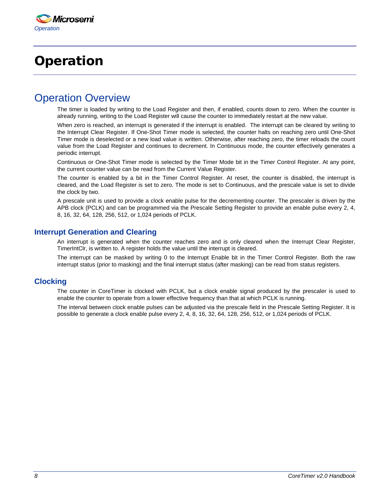# <span id="page-6-0"></span>Operation

## <span id="page-6-1"></span>Operation Overview

The timer is loaded by writing to the Load Register and then, if enabled, counts down to zero. When the counter is already running, writing to the Load Register will cause the counter to immediately restart at the new value.

When zero is reached, an interrupt is generated if the interrupt is enabled. The interrupt can be cleared by writing to the Interrupt Clear Register. If One-Shot Timer mode is selected, the counter halts on reaching zero until One-Shot Timer mode is deselected or a new load value is written. Otherwise, after reaching zero, the timer reloads the count value from the Load Register and continues to decrement. In Continuous mode, the counter effectively generates a periodic interrupt.

Continuous or One-Shot Timer mode is selected by the Timer Mode bit in the Timer Control Register. At any point, the current counter value can be read from the Current Value Register.

The counter is enabled by a bit in the Timer Control Register. At reset, the counter is disabled, the interrupt is cleared, and the Load Register is set to zero. The mode is set to Continuous, and the prescale value is set to divide the clock by two.

A prescale unit is used to provide a clock enable pulse for the decrementing counter. The prescaler is driven by the APB clock (PCLK) and can be programmed via the Prescale Setting Register to provide an enable pulse every 2, 4, 8, 16, 32, 64, 128, 256, 512, or 1,024 periods of PCLK.

#### **Interrupt Generation and Clearing**

An interrupt is generated when the counter reaches zero and is only cleared when the Interrupt Clear Register, TimerIntClr, is written to. A register holds the value until the interrupt is cleared.

The interrupt can be masked by writing 0 to the Interrupt Enable bit in the Timer Control Register. Both the raw interrupt status (prior to masking) and the final interrupt status (after masking) can be read from status registers.

### **Clocking**

The counter in CoreTimer is clocked with PCLK, but a clock enable signal produced by the prescaler is used to enable the counter to operate from a lower effective frequency than that at which PCLK is running.

The interval between clock enable pulses can be adjusted via the prescale field in the Prescale Setting Register. It is possible to generate a clock enable pulse every 2, 4, 8, 16, 32, 64, 128, 256, 512, or 1,024 periods of PCLK.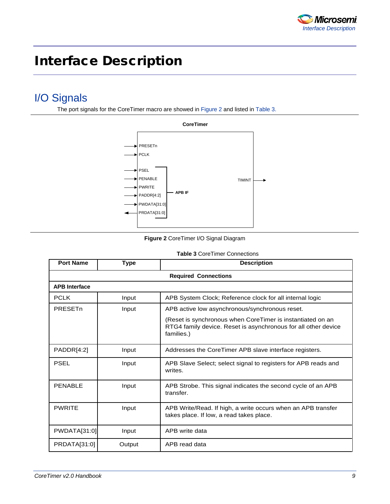

# <span id="page-7-0"></span>Interface Description

## <span id="page-7-1"></span>I/O Signals

The port signals for the CoreTimer macro are showed i[n Figure 2](#page-7-2) and listed in [Table 3.](#page-7-3)



**Figure 2** CoreTimer I/O Signal Diagram

| <b>Table 3 CoreTimer Connections</b> |
|--------------------------------------|
|                                      |

<span id="page-7-3"></span><span id="page-7-2"></span>

| <b>Port Name</b>     | <b>Type</b> | <b>Description</b>                                                                                                                         |
|----------------------|-------------|--------------------------------------------------------------------------------------------------------------------------------------------|
|                      |             | <b>Required Connections</b>                                                                                                                |
| <b>APB Interface</b> |             |                                                                                                                                            |
| <b>PCLK</b>          | Input       | APB System Clock; Reference clock for all internal logic                                                                                   |
| PRESET <sub>n</sub>  | Input       | APB active low asynchronous/synchronous reset.                                                                                             |
|                      |             | (Reset is synchronous when CoreTimer is instantiated on an<br>RTG4 family device. Reset is asynchronous for all other device<br>families.) |
| PADDR[4:2]           | Input       | Addresses the CoreTimer APB slave interface registers.                                                                                     |
| <b>PSEL</b>          | Input       | APB Slave Select; select signal to registers for APB reads and<br>writes.                                                                  |
| <b>PENABLE</b>       | Input       | APB Strobe. This signal indicates the second cycle of an APB<br>transfer.                                                                  |
| <b>PWRITE</b>        | Input       | APB Write/Read. If high, a write occurs when an APB transfer<br>takes place. If low, a read takes place.                                   |
| PWDATA[31:0]         | Input       | APB write data                                                                                                                             |
| PRDATA[31:0]         | Output      | APB read data                                                                                                                              |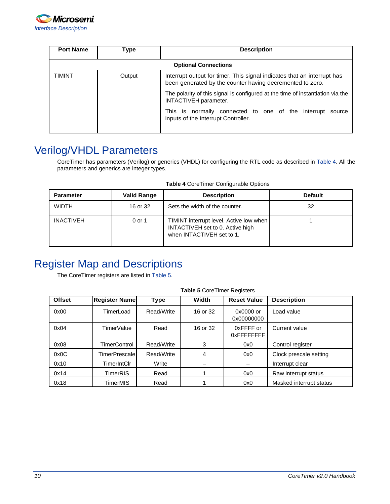![](_page_8_Picture_0.jpeg)

| <b>Port Name</b>            | Type   | <b>Description</b>                                                                                                                   |  |  |  |
|-----------------------------|--------|--------------------------------------------------------------------------------------------------------------------------------------|--|--|--|
| <b>Optional Connections</b> |        |                                                                                                                                      |  |  |  |
| TIMINT                      | Output | Interrupt output for timer. This signal indicates that an interrupt has<br>been generated by the counter having decremented to zero. |  |  |  |
|                             |        | The polarity of this signal is configured at the time of instantiation via the<br>INTACTIVEH parameter.                              |  |  |  |
|                             |        | This is normally connected to one of the interrupt source<br>inputs of the Interrupt Controller.                                     |  |  |  |

## <span id="page-8-0"></span>Verilog/VHDL Parameters

CoreTimer has parameters (Verilog) or generics (VHDL) for configuring the RTL code as described in [Table 4.](#page-8-2) All the parameters and generics are integer types.

<span id="page-8-2"></span>

| <b>Parameter</b> | <b>Valid Range</b> | <b>Description</b>                                                                                       | <b>Default</b> |
|------------------|--------------------|----------------------------------------------------------------------------------------------------------|----------------|
| <b>WIDTH</b>     | 16 or 32           | Sets the width of the counter.                                                                           | 32             |
| <b>INACTIVEH</b> | 0 or 1             | TIMINT interrupt level. Active low when<br>INTACTIVEH set to 0. Active high<br>when INTACTIVEH set to 1. |                |

# <span id="page-8-1"></span>Register Map and Descriptions

The CoreTimer registers are listed in [Table 5.](#page-8-3)

<span id="page-8-3"></span>

| <b>Offset</b> | <b>Register Name</b> | <b>Type</b> | Width    | <b>Reset Value</b>        | <b>Description</b>      |
|---------------|----------------------|-------------|----------|---------------------------|-------------------------|
| 0x00          | TimerLoad            | Read/Write  | 16 or 32 | $0x0000$ or<br>0x00000000 | Load value              |
| 0x04          | TimerValue           | Read        | 16 or 32 | 0xFFFF or<br>0xFFFFFFFFF  | Current value           |
| 0x08          | TimerControl         | Read/Write  | 3        | 0x0                       | Control register        |
| 0x0C          | TimerPrescale        | Read/Write  | 4        | 0x0                       | Clock prescale setting  |
| 0x10          | TimerIntClr          | Write       |          |                           | Interrupt clear         |
| 0x14          | TimerRIS             | Read        |          | 0x0                       | Raw interrupt status    |
| 0x18          | TimerMIS             | Read        |          | 0x0                       | Masked interrupt status |

#### **Table 5** CoreTimer Registers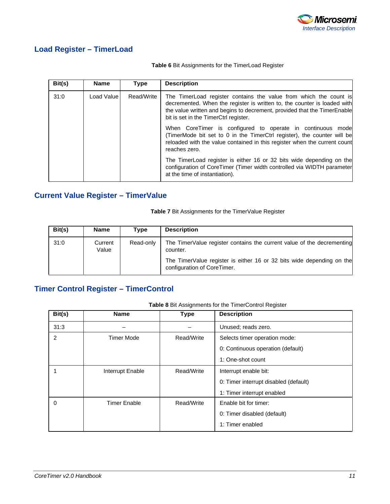![](_page_9_Picture_0.jpeg)

### **Load Register – TimerLoad**

#### **Table 6** Bit Assignments for the TimerLoad Register

| Bit(s) | <b>Name</b> | <b>Type</b> | <b>Description</b>                                                                                                                                                                                                                                                 |
|--------|-------------|-------------|--------------------------------------------------------------------------------------------------------------------------------------------------------------------------------------------------------------------------------------------------------------------|
| 31:0   | Load Value  | Read/Write  | The TimerLoad register contains the value from which the count is<br>decremented. When the register is written to, the counter is loaded with<br>the value written and begins to decrement, provided that the TimerEnable<br>bit is set in the TimerCtrl register. |
|        |             |             | When CoreTimer is configured to operate in continuous mode<br>(TimerMode bit set to 0 in the TimerCtrl register), the counter will be<br>reloaded with the value contained in this register when the current count<br>reaches zero.                                |
|        |             |             | The TimerLoad register is either 16 or 32 bits wide depending on the<br>configuration of CoreTimer (Timer width controlled via WIDTH parameter<br>at the time of instantiation).                                                                                   |

### **Current Value Register – TimerValue**

**Table 7** Bit Assignments for the TimerValue Register

| Bit(s) | <b>Name</b>      | Type      | <b>Description</b>                                                                                   |
|--------|------------------|-----------|------------------------------------------------------------------------------------------------------|
| 31:0   | Current<br>Value | Read-only | The TimerValue register contains the current value of the decrementing<br>counter.                   |
|        |                  |           | The TimerValue register is either 16 or 32 bits wide depending on the<br>configuration of CoreTimer. |

## **Timer Control Register – TimerControl**

| Bit(s)   | <b>Name</b>         | <b>Type</b> | <b>Description</b>                    |
|----------|---------------------|-------------|---------------------------------------|
| 31:3     |                     |             | Unused; reads zero.                   |
| 2        | <b>Timer Mode</b>   | Read/Write  | Selects timer operation mode:         |
|          |                     |             | 0: Continuous operation (default)     |
|          |                     |             | 1: One-shot count                     |
|          | Interrupt Enable    | Read/Write  | Interrupt enable bit:                 |
|          |                     |             | 0: Timer interrupt disabled (default) |
|          |                     |             | 1: Timer interrupt enabled            |
| $\Omega$ | <b>Timer Enable</b> | Read/Write  | Enable bit for timer:                 |
|          |                     |             | 0: Timer disabled (default)           |
|          |                     |             | 1: Timer enabled                      |

**Table 8** Bit Assignments for the TimerControl Register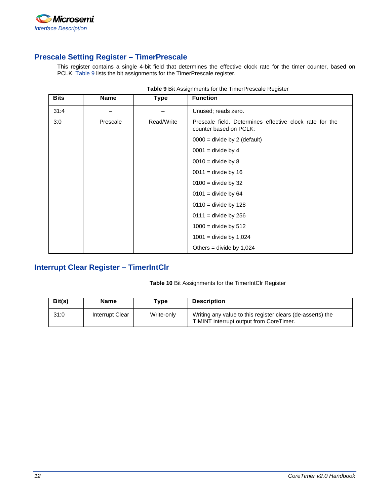![](_page_10_Picture_0.jpeg)

### **Prescale Setting Register – TimerPrescale**

This register contains a single 4-bit field that determines the effective clock rate for the timer counter, based on PCLK. [Table 9](#page-10-0) lists the bit assignments for the TimerPrescale register.

<span id="page-10-0"></span>

| <b>Bits</b> | <b>Name</b> | <b>Type</b> | <b>Function</b>                                                                   |
|-------------|-------------|-------------|-----------------------------------------------------------------------------------|
| 31:4        |             |             | Unused; reads zero.                                                               |
| 3:0         | Prescale    | Read/Write  | Prescale field. Determines effective clock rate for the<br>counter based on PCLK: |
|             |             |             | $0000 =$ divide by 2 (default)                                                    |
|             |             |             | $0001$ = divide by 4                                                              |
|             |             |             | $0010 =$ divide by 8                                                              |
|             |             |             | $0011$ = divide by 16                                                             |
|             |             |             | $0100 =$ divide by 32                                                             |
|             |             |             | $0101$ = divide by 64                                                             |
|             |             |             | $0110 =$ divide by 128                                                            |
|             |             |             | $0111$ = divide by 256                                                            |
|             |             |             | $1000 =$ divide by 512                                                            |
|             |             |             | $1001$ = divide by 1,024                                                          |
|             |             |             | Others = divide by $1,024$                                                        |

| Table 9 Bit Assignments for the TimerPrescale Register |  |
|--------------------------------------------------------|--|
|--------------------------------------------------------|--|

## **Interrupt Clear Register – TimerIntClr**

#### **Table 10** Bit Assignments for the TimerIntClr Register

| Bit(s) | <b>Name</b>     | $\mathsf{v}$ pe | <b>Description</b>                                                                                    |
|--------|-----------------|-----------------|-------------------------------------------------------------------------------------------------------|
| 31:0   | Interrupt Clear | Write-only      | Writing any value to this register clears (de-asserts) the<br>TIMINT interrupt output from CoreTimer. |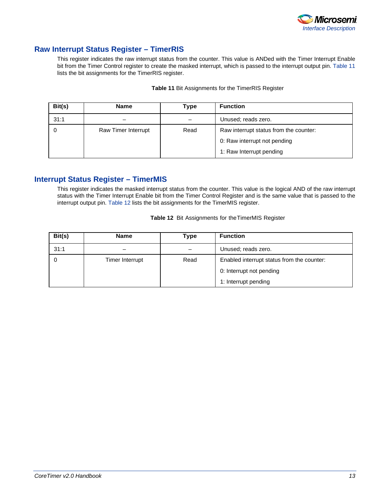![](_page_11_Picture_0.jpeg)

### **Raw Interrupt Status Register – TimerRIS**

This register indicates the raw interrupt status from the counter. This value is ANDed with the Timer Interrupt Enable bit from the Timer Control register to create the masked interrupt, which is passed to the interrupt output pin. [Table 11](#page-11-0) lists the bit assignments for the TimerRIS register.

<span id="page-11-0"></span>

| Bit(s) | <b>Name</b>         | Type | <b>Function</b>                        |
|--------|---------------------|------|----------------------------------------|
| 31:1   |                     |      | Unused; reads zero.                    |
| 0      | Raw Timer Interrupt | Read | Raw interrupt status from the counter: |
|        |                     |      | 0: Raw interrupt not pending           |
|        |                     |      | 1: Raw Interrupt pending               |

| <b>Table 11 Bit Assignments for the TimerRIS Register</b> |  |
|-----------------------------------------------------------|--|
|-----------------------------------------------------------|--|

### **Interrupt Status Register – TimerMIS**

This register indicates the masked interrupt status from the counter. This value is the logical AND of the raw interrupt status with the Timer Interrupt Enable bit from the Timer Control Register and is the same value that is passed to the interrupt output pin. [Table 12](#page-11-1) lists the bit assignments for the TimerMIS register.

<span id="page-11-1"></span>

| <b>Table 12</b> Bit Assignments for the TimerMIS Register |  |  |
|-----------------------------------------------------------|--|--|
|-----------------------------------------------------------|--|--|

| Bit(s) | <b>Name</b>     | Type | <b>Function</b>                            |
|--------|-----------------|------|--------------------------------------------|
| 31:1   | _               |      | Unused; reads zero.                        |
| 0      | Timer Interrupt | Read | Enabled interrupt status from the counter: |
|        |                 |      | 0: Interrupt not pending                   |
|        |                 |      | 1: Interrupt pending                       |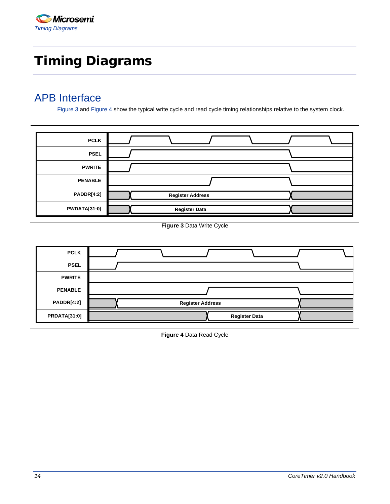# <span id="page-12-0"></span>Timing Diagrams

## <span id="page-12-1"></span>APB Interface

[Figure 3](#page-12-2) and [Figure 4](#page-12-3) show the typical write cycle and read cycle timing relationships relative to the system clock.

| <b>PCLK</b>         |                         |  |
|---------------------|-------------------------|--|
| <b>PSEL</b>         |                         |  |
| <b>PWRITE</b>       |                         |  |
| <b>PENABLE</b>      |                         |  |
| PADDR[4:2]          | <b>Register Address</b> |  |
| <b>PWDATA[31:0]</b> | <b>Register Data</b>    |  |

**Figure 3** Data Write Cycle

<span id="page-12-3"></span><span id="page-12-2"></span>![](_page_12_Figure_6.jpeg)

**Figure 4** Data Read Cycle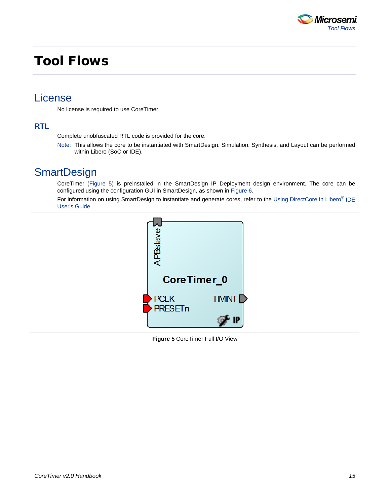![](_page_13_Picture_0.jpeg)

# <span id="page-13-0"></span>Tool Flows

## <span id="page-13-1"></span>License

No license is required to use CoreTimer.

### **RTL**

Complete unobfuscated RTL code is provided for the core.

Note: This allows the core to be instantiated with SmartDesign. Simulation, Synthesis, and Layout can be performed within Libero (SoC or IDE).

## <span id="page-13-2"></span>**SmartDesign**

CoreTimer [\(Figure 5\)](#page-13-3) is preinstalled in the SmartDesign IP Deployment design environment. The core can be configured using the configuration GUI in SmartDesign, as shown in [Figure 6.](#page-14-1)

<span id="page-13-3"></span>For information on using SmartDesign to instantiate and generate cores, refer to the [Using DirectCore in Libero](http://soc.microsemi.com/documents/directcore_in_libero_tutorial_ug.pdf)<sup>®</sup> IDE [User's Guide](http://soc.microsemi.com/documents/directcore_in_libero_tutorial_ug.pdf)

![](_page_13_Picture_10.jpeg)

**Figure 5** CoreTimer Full I/O View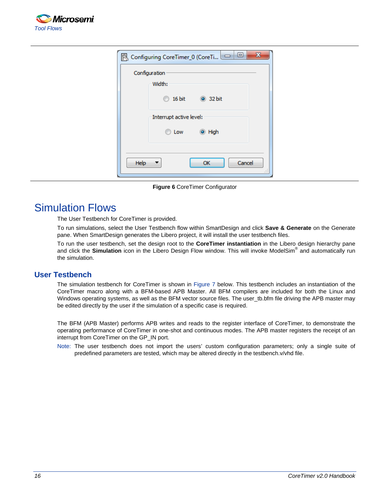![](_page_14_Picture_0.jpeg)

| $\mathbf{x}$<br>Configuring CoreTimer_0 (CoreTi 0<br>恖 |  |  |  |  |
|--------------------------------------------------------|--|--|--|--|
| Configuration                                          |  |  |  |  |
| Width:                                                 |  |  |  |  |
| 16 bit<br><b>32 bit</b>                                |  |  |  |  |
| Interrupt active level:                                |  |  |  |  |
| ◎ High<br>Low                                          |  |  |  |  |
|                                                        |  |  |  |  |
| Cancel<br>Help<br>OK<br>Ш                              |  |  |  |  |

**Figure 6** CoreTimer Configurator

## <span id="page-14-1"></span><span id="page-14-0"></span>Simulation Flows

The User Testbench for CoreTimer is provided.

To run simulations, select the User Testbench flow within SmartDesign and click **Save & Generate** on the Generate pane. When SmartDesign generates the Libero project, it will install the user testbench files.

To run the user testbench, set the design root to the **CoreTimer instantiation** in the Libero design hierarchy pane and click the **Simulation** icon in the Libero Design Flow window. This will invoke ModelSim® and automatically run the simulation.

### **User Testbench**

The simulation testbench for CoreTimer is shown in [Figure 7](#page-15-2) below. This testbench includes an instantiation of the CoreTimer macro along with a BFM-based APB Master. All BFM compilers are included for both the Linux and Windows operating systems, as well as the BFM vector source files. The user\_tb.bfm file driving the APB master may be edited directly by the user if the simulation of a specific case is required.

The BFM (APB Master) performs APB writes and reads to the register interface of CoreTimer, to demonstrate the operating performance of CoreTimer in one-shot and continuous modes. The APB master registers the receipt of an interrupt from CoreTimer on the GP\_IN port.

Note: The user testbench does not import the users' custom configuration parameters; only a single suite of predefined parameters are tested, which may be altered directly in the testbench.v/vhd file.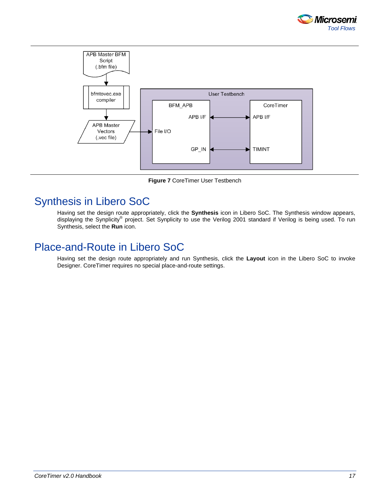![](_page_15_Picture_0.jpeg)

![](_page_15_Figure_1.jpeg)

**Figure 7** CoreTimer User Testbench

# <span id="page-15-2"></span><span id="page-15-0"></span>Synthesis in Libero SoC

Having set the design route appropriately, click the **Synthesis** icon in Libero SoC. The Synthesis window appears, displaying the Synplicity® project. Set Synplicity to use the Verilog 2001 standard if Verilog is being used. To run Synthesis, select the **Run** icon.

## <span id="page-15-1"></span>Place-and-Route in Libero SoC

Having set the design route appropriately and run Synthesis, click the **Layout** icon in the Libero SoC to invoke Designer. CoreTimer requires no special place-and-route settings.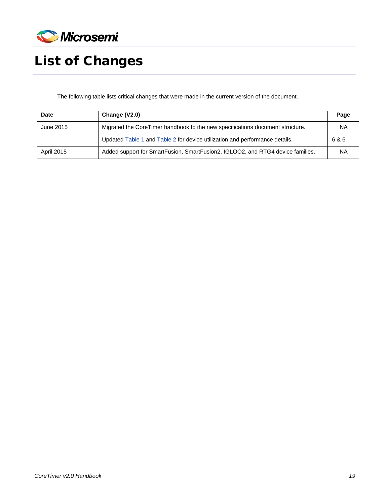![](_page_17_Picture_0.jpeg)

# <span id="page-17-0"></span>List of Changes

The following table lists critical changes that were made in the current version of the document.

| <b>Date</b> | Change (V2.0)                                                                  | Page  |
|-------------|--------------------------------------------------------------------------------|-------|
| June 2015   | Migrated the CoreTimer handbook to the new specifications document structure.  |       |
|             | Updated Table 1 and Table 2 for device utilization and performance details.    | 6 & 6 |
| April 2015  | Added support for SmartFusion, SmartFusion2, IGLOO2, and RTG4 device families. | ΝA    |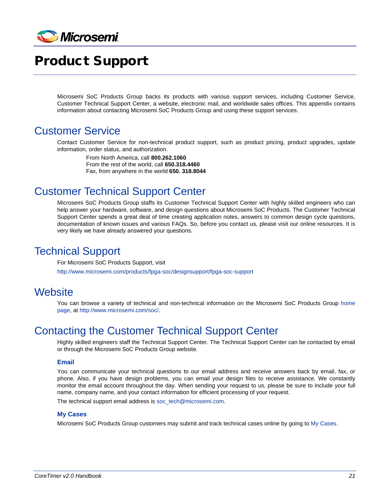![](_page_19_Picture_0.jpeg)

# <span id="page-19-0"></span>Product Support

Microsemi SoC Products Group backs its products with various support services, including Customer Service, Customer Technical Support Center, a website, electronic mail, and worldwide sales offices. This appendix contains information about contacting Microsemi SoC Products Group and using these support services.

## <span id="page-19-1"></span>Customer Service

Contact Customer Service for non-technical product support, such as product pricing, product upgrades, update information, order status, and authorization.

From North America, call **800.262.1060** From the rest of the world, call **650.318.4460** Fax, from anywhere in the world **650. 318.8044**

## <span id="page-19-2"></span>Customer Technical Support Center

Microsemi SoC Products Group staffs its Customer Technical Support Center with highly skilled engineers who can help answer your hardware, software, and design questions about Microsemi SoC Products. The Customer Technical Support Center spends a great deal of time creating application notes, answers to common design cycle questions, documentation of known issues and various FAQs. So, before you contact us, please visit our online resources. It is very likely we have already answered your questions.

## <span id="page-19-3"></span>Technical Support

For Microsemi SoC Products Support, visit

<http://www.microsemi.com/products/fpga-soc/designsupport/fpga-soc-support>

## <span id="page-19-4"></span>**Website**

You can browse a variety of technical and non-technical information on the Microsemi SoC Products Group [home](http://www.microsemi.com/soc)  [page,](http://www.microsemi.com/soc) at [http://www.microsemi.com/soc/.](http://www.microsemi.com/soc/)

## <span id="page-19-5"></span>Contacting the Customer Technical Support Center

Highly skilled engineers staff the Technical Support Center. The Technical Support Center can be contacted by email or through the Microsemi SoC Products Group website.

#### **Email**

You can communicate your technical questions to our email address and receive answers back by email, fax, or phone. Also, if you have design problems, you can email your design files to receive assistance. We constantly monitor the email account throughout the day. When sending your request to us, please be sure to include your full name, company name, and your contact information for efficient processing of your request.

The technical support email address is [soc\\_tech@microsemi.com.](mailto:soc_tech@microsemi.com)

#### **My Cases**

Microsemi SoC Products Group customers may submit and track technical cases online by going to [My Cases.](http://www.microsemi.com/soc/mycases/)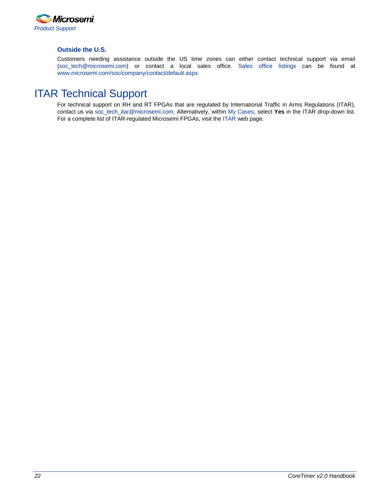![](_page_20_Picture_0.jpeg)

#### **Outside the U.S.**

Customers needing assistance outside the US time zones can either contact technical support via email [\(soc\\_tech@microsemi.com\)](mailto:soc_tech@microsemi.com) or contact a local sales office. [Sales office listings](http://www.microsemi.com/soc/company/contact/default.aspx) can be found a[t](http://www.microsemi.com/soc/company/contact/default.aspx) [www.microsemi.com/soc/company/contact/default.aspx.](http://www.microsemi.com/soc/company/contact/default.aspx)

## <span id="page-20-0"></span>[ITAR Technical Support](http://www.microsemi.com/soc/company/contact/default.aspx%23itartechsupport)

For technical support on RH and RT FPGAs that are regulated by International Traffic in Arms Regulations (ITAR), contact us via [soc\\_tech\\_itar@microsemi.com.](mailto:soc_tech_itar@microsemi.com) Alternatively, within [My Cases,](http://www.microsemi.com/mycases/) select **Yes** in the ITAR drop-down list. For a complete list of ITAR-regulated Microsemi FPGAs, visit the [ITAR](http://www.microsemi.com/soc/ITAR/) web page.